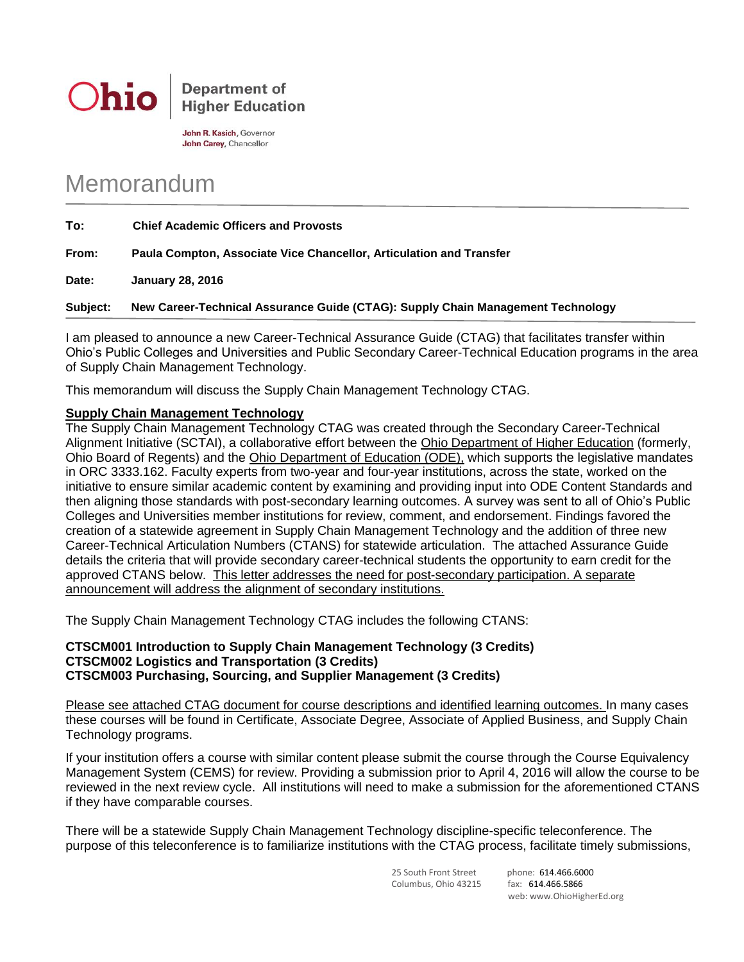

John R. Kasich, Governor John Carey, Chancellor

## Memorandum

| To:   | <b>Chief Academic Officers and Provosts</b>                         |
|-------|---------------------------------------------------------------------|
| From: | Paula Compton, Associate Vice Chancellor, Articulation and Transfer |
| Date: | <b>January 28, 2016</b>                                             |

**Subject: New Career-Technical Assurance Guide (CTAG): Supply Chain Management Technology**

I am pleased to announce a new Career-Technical Assurance Guide (CTAG) that facilitates transfer within Ohio's Public Colleges and Universities and Public Secondary Career-Technical Education programs in the area of Supply Chain Management Technology.

This memorandum will discuss the Supply Chain Management Technology CTAG.

## **Supply Chain Management Technology**

The Supply Chain Management Technology CTAG was created through the Secondary Career-Technical Alignment Initiative (SCTAI), a collaborative effort between the Ohio Department of Higher Education (formerly, Ohio Board of Regents) and the Ohio Department of Education (ODE), which supports the legislative mandates in ORC 3333.162. Faculty experts from two-year and four-year institutions, across the state, worked on the initiative to ensure similar academic content by examining and providing input into ODE Content Standards and then aligning those standards with post-secondary learning outcomes. A survey was sent to all of Ohio's Public Colleges and Universities member institutions for review, comment, and endorsement. Findings favored the creation of a statewide agreement in Supply Chain Management Technology and the addition of three new Career-Technical Articulation Numbers (CTANS) for statewide articulation. The attached Assurance Guide details the criteria that will provide secondary career-technical students the opportunity to earn credit for the approved CTANS below. This letter addresses the need for post-secondary participation. A separate announcement will address the alignment of secondary institutions.

The Supply Chain Management Technology CTAG includes the following CTANS:

## **CTSCM001 Introduction to Supply Chain Management Technology (3 Credits) CTSCM002 Logistics and Transportation (3 Credits) CTSCM003 Purchasing, Sourcing, and Supplier Management (3 Credits)**

Please see attached CTAG document for course descriptions and identified learning outcomes. In many cases these courses will be found in Certificate, Associate Degree, Associate of Applied Business, and Supply Chain Technology programs.

If your institution offers a course with similar content please submit the course through the Course Equivalency Management System (CEMS) for review. Providing a submission prior to April 4, 2016 will allow the course to be reviewed in the next review cycle. All institutions will need to make a submission for the aforementioned CTANS if they have comparable courses.

There will be a statewide Supply Chain Management Technology discipline-specific teleconference. The purpose of this teleconference is to familiarize institutions with the CTAG process, facilitate timely submissions,

> 25 South Front Street phone: 614.466.6000 Columbus, Ohio 43215 fax: 614.466.5866

web: www.OhioHigherEd.org